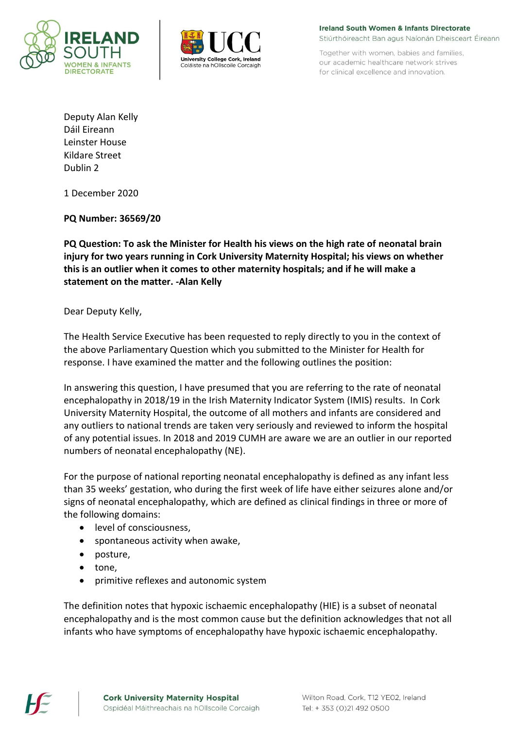



**Ireland South Women & Infants Directorate** Stiúrthóireacht Ban agus Naíonán Dheisceart Éireann

Together with women, babies and families, our academic healthcare network strives for clinical excellence and innovation.

Deputy Alan Kelly Dáil Eireann Leinster House Kildare Street Dublin 2

1 December 2020

**PQ Number: 36569/20**

**PQ Question: To ask the Minister for Health his views on the high rate of neonatal brain injury for two years running in Cork University Maternity Hospital; his views on whether this is an outlier when it comes to other maternity hospitals; and if he will make a statement on the matter. -Alan Kelly**

Dear Deputy Kelly,

The Health Service Executive has been requested to reply directly to you in the context of the above Parliamentary Question which you submitted to the Minister for Health for response. I have examined the matter and the following outlines the position:

In answering this question, I have presumed that you are referring to the rate of neonatal encephalopathy in 2018/19 in the Irish Maternity Indicator System (IMIS) results. In Cork University Maternity Hospital, the outcome of all mothers and infants are considered and any outliers to national trends are taken very seriously and reviewed to inform the hospital of any potential issues. In 2018 and 2019 CUMH are aware we are an outlier in our reported numbers of neonatal encephalopathy (NE).

For the purpose of national reporting neonatal encephalopathy is defined as any infant less than 35 weeks' gestation, who during the first week of life have either seizures alone and/or signs of neonatal encephalopathy, which are defined as clinical findings in three or more of the following domains:

- level of consciousness.
- spontaneous activity when awake,
- posture,
- tone,
- primitive reflexes and autonomic system

The definition notes that hypoxic ischaemic encephalopathy (HIE) is a subset of neonatal encephalopathy and is the most common cause but the definition acknowledges that not all infants who have symptoms of encephalopathy have hypoxic ischaemic encephalopathy.